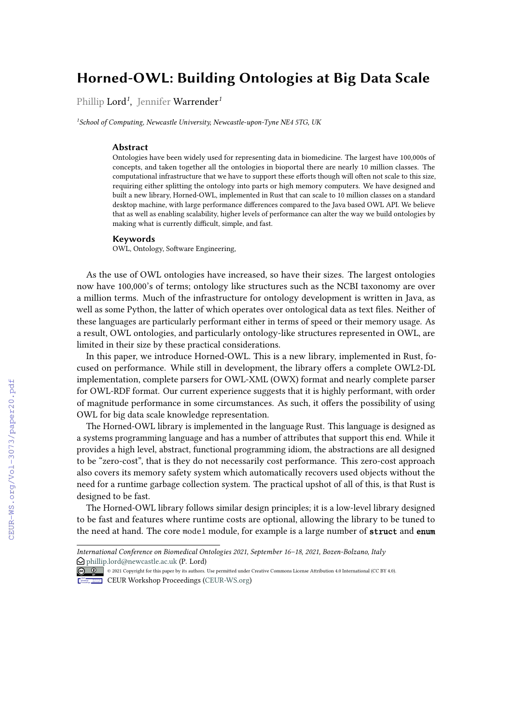# **Horned-OWL: Building Ontologies at Big Data Scale**

Phillip Lord*<sup>1</sup>* , Jennifer Warrender*<sup>1</sup>*

*1 School of Computing, Newcastle University, Newcastle-upon-Tyne NE4 5TG, UK*

#### **Abstract**

Ontologies have been widely used for representing data in biomedicine. The largest have 100,000s of concepts, and taken together all the ontologies in bioportal there are nearly 10 million classes. The computational infrastructure that we have to support these efforts though will often not scale to this size, requiring either splitting the ontology into parts or high memory computers. We have designed and built a new library, Horned-OWL, implemented in Rust that can scale to 10 million classes on a standard desktop machine, with large performance differences compared to the Java based OWL API. We believe that as well as enabling scalability, higher levels of performance can alter the way we build ontologies by making what is currently difficult, simple, and fast.

### **Keywords**

OWL, Ontology, Software Engineering,

As the use of OWL ontologies have increased, so have their sizes. The largest ontologies now have 100,000's of terms; ontology like structures such as the NCBI taxonomy are over a million terms. Much of the infrastructure for ontology development is written in Java, as well as some Python, the latter of which operates over ontological data as text files. Neither of these languages are particularly performant either in terms of speed or their memory usage. As a result, OWL ontologies, and particularly ontology-like structures represented in OWL, are limited in their size by these practical considerations.

In this paper, we introduce Horned-OWL. This is a new library, implemented in Rust, focused on performance. While still in development, the library offers a complete OWL2-DL implementation, complete parsers for OWL-XML (OWX) format and nearly complete parser for OWL-RDF format. Our current experience suggests that it is highly performant, with order of magnitude performance in some circumstances. As such, it offers the possibility of using OWL for big data scale knowledge representation.

The Horned-OWL library is implemented in the language Rust. This language is designed as a systems programming language and has a number of attributes that support this end. While it provides a high level, abstract, functional programming idiom, the abstractions are all designed to be "zero-cost", that is they do not necessarily cost performance. This zero-cost approach also covers its memory safety system which automatically recovers used objects without the need for a runtime garbage collection system. The practical upshot of all of this, is that Rust is designed to be fast.

The Horned-OWL library follows similar design principles; it is a low-level library designed to be fast and features where runtime costs are optional, allowing the library to be tuned to the need at hand. The core model module, for example is a large number of struct and enum

*International Conference on Biomedical Ontologies 2021, September 16–18, 2021, Bozen-Bolzano, Italy*  $\bigcirc$  [phillip.lord@newcastle.ac.uk](mailto:phillip.lord@newcastle.ac.uk) (P. Lord)

<sup>© 2021</sup> Copyright for this paper by its authors. Use permitted under Creative Commons License Attribution 4.0 International (CC BY 4.0).

CEUR Workshop [Proceedings](http://ceur-ws.org) [\(CEUR-WS.org\)](http://ceur-ws.org)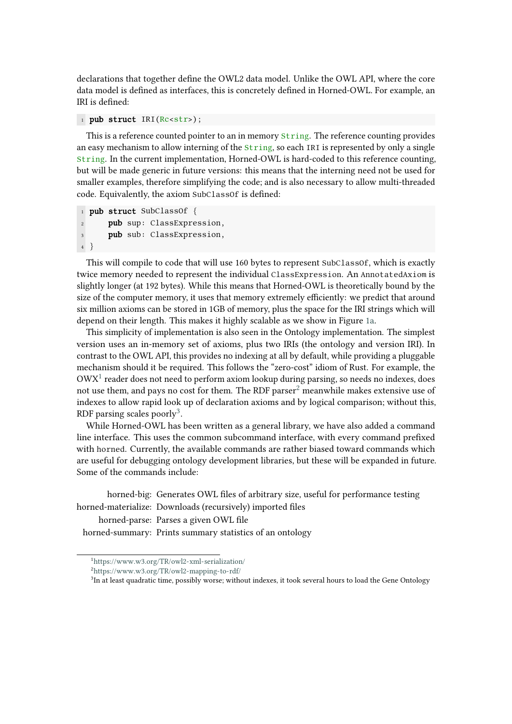declarations that together define the OWL2 data model. Unlike the OWL API, where the core data model is defined as interfaces, this is concretely defined in Horned-OWL. For example, an IRI is defined:

## 1 pub struct IRI(Rc<str>);

This is a reference counted pointer to an in memory String. The reference counting provides an easy mechanism to allow interning of the  $String$ , so each IRI is represented by only a single String. In the current implementation, Horned-OWL is hard-coded to this reference counting, but will be made generic in future versions: this means that the interning need not be used for smaller examples, therefore simplifying the code; and is also necessary to allow multi-threaded code. Equivalently, the axiom SubClassOf is defined:

```
1 pub struct SubClassOf {
2 pub sup: ClassExpression,
3 pub sub: ClassExpression,
4 }
```
This will compile to code that will use 160 bytes to represent SubClassOf, which is exactly twice memory needed to represent the individual ClassExpression. An AnnotatedAxiom is slightly longer (at 192 bytes). While this means that Horned-OWL is theoretically bound by the size of the computer memory, it uses that memory extremely efficiently: we predict that around six million axioms can be stored in 1GB of memory, plus the space for the IRI strings which will depend on their length. This makes it highly scalable as we show in Figure [1a.](#page-2-0)

This simplicity of implementation is also seen in the Ontology implementation. The simplest version uses an in-memory set of axioms, plus two IRIs (the ontology and version IRI). In contrast to the OWL API, this provides no indexing at all by default, while providing a pluggable mechanism should it be required. This follows the "zero-cost" idiom of Rust. For example, the  $\rm OWX^1$  $\rm OWX^1$  reader does not need to perform axiom lookup during parsing, so needs no indexes, does not use them, and pays no cost for them. The RDF parser<sup>[2](#page-1-1)</sup> meanwhile makes extensive use of indexes to allow rapid look up of declaration axioms and by logical comparison; without this, RDF parsing scales poorly<sup>[3](#page-1-2)</sup>.

While Horned-OWL has been written as a general library, we have also added a command line interface. This uses the common subcommand interface, with every command prefixed with horned. Currently, the available commands are rather biased toward commands which are useful for debugging ontology development libraries, but these will be expanded in future. Some of the commands include:

horned-big: Generates OWL files of arbitrary size, useful for performance testing horned-materialize: Downloads (recursively) imported files

horned-parse: Parses a given OWL file

horned-summary: Prints summary statistics of an ontology

<span id="page-1-0"></span><sup>1</sup><https://www.w3.org/TR/owl2-xml-serialization/>

<span id="page-1-1"></span><sup>2</sup><https://www.w3.org/TR/owl2-mapping-to-rdf/>

<span id="page-1-2"></span><sup>&</sup>lt;sup>3</sup>In at least quadratic time, possibly worse; without indexes, it took several hours to load the Gene Ontology